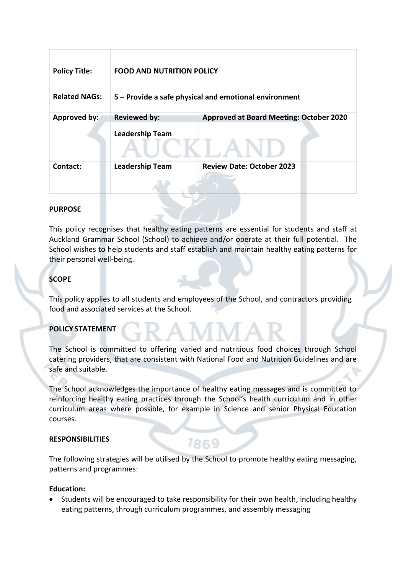| <b>Policy Title:</b> | <b>FOOD AND NUTRITION POLICY</b>                      |                                                |
|----------------------|-------------------------------------------------------|------------------------------------------------|
| <b>Related NAGs:</b> | 5 - Provide a safe physical and emotional environment |                                                |
| Approved by:         | <b>Reviewed by:</b>                                   | <b>Approved at Board Meeting: October 2020</b> |
|                      | <b>Leadership Team</b>                                |                                                |
| Contact:             | <b>Leadership Team</b>                                | <b>Review Date: October 2023</b>               |
|                      |                                                       |                                                |

## **PURPOSE**

This policy recognises that healthy eating patterns are essential for students and staff at Auckland Grammar School (School) to achieve and/or operate at their full potential. The School wishes to help students and staff establish and maintain healthy eating patterns for their personal well-being.

# **SCOPE**

This policy applies to all students and employees of the School, and contractors providing food and associated services at the School.

# **POLICY STATEMENT**

The School is committed to offering varied and nutritious food choices through School catering providers, that are consistent with National Food and Nutrition Guidelines and are safe and suitable.

The School acknowledges the importance of healthy eating messages and is committed to reinforcing healthy eating practices through the School's health curriculum and in other curriculum areas where possible, for example in Science and senior Physical Education courses.

### **RESPONSIBILITIES**

The following strategies will be utilised by the School to promote healthy eating messaging, patterns and programmes:

7869

### **Education:**

• Students will be encouraged to take responsibility for their own health, including healthy eating patterns, through curriculum programmes, and assembly messaging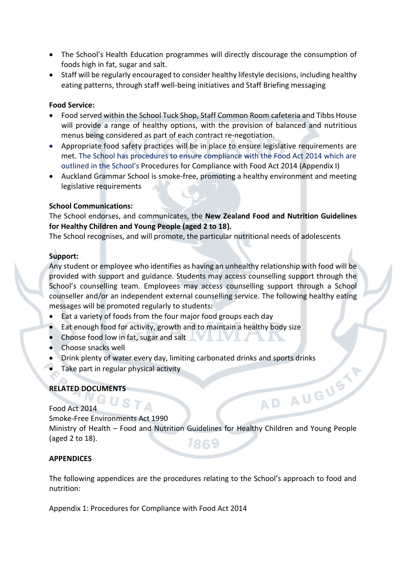- The School's Health Education programmes will directly discourage the consumption of foods high in fat, sugar and salt.
- Staff will be regularly encouraged to consider healthy lifestyle decisions, including healthy eating patterns, through staff well-being initiatives and Staff Briefing messaging

### **Food Service:**

- Food served within the School Tuck Shop, Staff Common Room cafeteria and Tibbs House will provide a range of healthy options, with the provision of balanced and nutritious menus being considered as part of each contract re-negotiation.
- Appropriate food safety practices will be in place to ensure legislative requirements are met. The School has procedures to ensure compliance with the Food Act 2014 which are outlined in the School's Procedures for Compliance with Food Act 2014 (Appendix I)
- Auckland Grammar School is smoke-free, promoting a healthy environment and meeting legislative requirements

## **School Communications:**

The School endorses, and communicates, the **New Zealand Food and Nutrition Guidelines for Healthy Children and Young People (aged 2 to 18).**

The School recognises, and will promote, the particular nutritional needs of adolescents

# **Support:**

Any student or employee who identifies as having an unhealthy relationship with food will be provided with support and guidance. Students may access counselling support through the School's counselling team. Employees may access counselling support through a School counseller and/or an independent external counselling service. The following healthy eating messages will be promoted regularly to students:

- Eat a variety of foods from the four major food groups each day
- Eat enough food for activity, growth and to maintain a healthy body size
- Choose food low in fat, sugar and salt
- Choose snacks well
- Prink plenty of water every day, limiting carbonated drinks and sports drinks<br>
Take part in regular physical activity<br>
ELATED DOCUMENTS<br>
od Act 2014<br>
moke-Free Environt
- Take part in regular physical activity

 $JST_A$ 

# **RELATED DOCUMENTS**

Food Act 2014

Smoke-Free Environments Act 1990

Ministry of Health – Food and Nutrition Guidelines for Healthy Children and Young People (aged 2 to 18). 7869

### **APPENDICES**

The following appendices are the procedures relating to the School's approach to food and nutrition:

Appendix 1: Procedures for Compliance with Food Act 2014